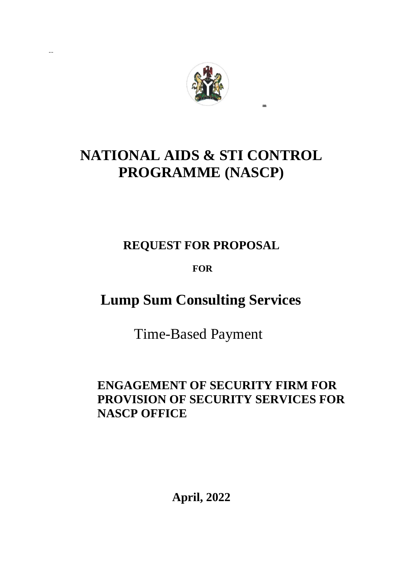

**…**

# **NATIONAL AIDS & STI CONTROL PROGRAMME (NASCP)**

## **REQUEST FOR PROPOSAL**

## **FOR**

## **Lump Sum Consulting Services**

Time-Based Payment

## **ENGAGEMENT OF SECURITY FIRM FOR PROVISION OF SECURITY SERVICES FOR NASCP OFFICE**

**April, 2022**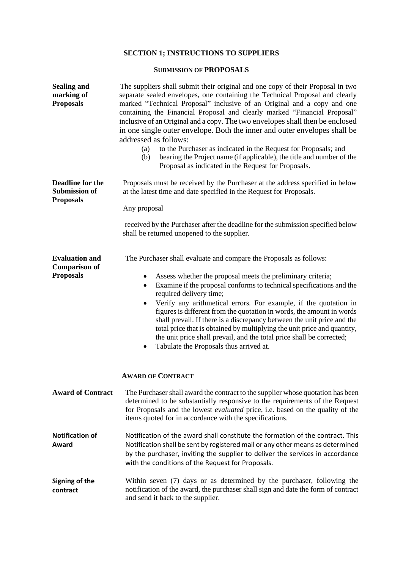### **SECTION 1; INSTRUCTIONS TO SUPPLIERS**

#### **SUBMISSION OF PROPOSALS**

| <b>Sealing and</b><br>marking of<br><b>Proposals</b>                | The suppliers shall submit their original and one copy of their Proposal in two<br>separate sealed envelopes, one containing the Technical Proposal and clearly<br>marked "Technical Proposal" inclusive of an Original and a copy and one<br>containing the Financial Proposal and clearly marked "Financial Proposal"<br>inclusive of an Original and a copy. The two envelopes shall then be enclosed<br>in one single outer envelope. Both the inner and outer envelopes shall be<br>addressed as follows:<br>to the Purchaser as indicated in the Request for Proposals; and<br>(a)<br>bearing the Project name (if applicable), the title and number of the<br>(b)<br>Proposal as indicated in the Request for Proposals. |  |  |  |  |  |  |  |
|---------------------------------------------------------------------|---------------------------------------------------------------------------------------------------------------------------------------------------------------------------------------------------------------------------------------------------------------------------------------------------------------------------------------------------------------------------------------------------------------------------------------------------------------------------------------------------------------------------------------------------------------------------------------------------------------------------------------------------------------------------------------------------------------------------------|--|--|--|--|--|--|--|
| <b>Deadline for the</b><br><b>Submission of</b><br><b>Proposals</b> | Proposals must be received by the Purchaser at the address specified in below<br>at the latest time and date specified in the Request for Proposals.                                                                                                                                                                                                                                                                                                                                                                                                                                                                                                                                                                            |  |  |  |  |  |  |  |
|                                                                     | Any proposal<br>received by the Purchaser after the deadline for the submission specified below<br>shall be returned unopened to the supplier.                                                                                                                                                                                                                                                                                                                                                                                                                                                                                                                                                                                  |  |  |  |  |  |  |  |
| <b>Evaluation and</b><br><b>Comparison of</b><br><b>Proposals</b>   | The Purchaser shall evaluate and compare the Proposals as follows:<br>Assess whether the proposal meets the preliminary criteria;<br>٠<br>Examine if the proposal conforms to technical specifications and the<br>$\bullet$<br>required delivery time;<br>Verify any arithmetical errors. For example, if the quotation in<br>figures is different from the quotation in words, the amount in words<br>shall prevail. If there is a discrepancy between the unit price and the<br>total price that is obtained by multiplying the unit price and quantity,<br>the unit price shall prevail, and the total price shall be corrected;<br>Tabulate the Proposals thus arrived at.<br>٠                                             |  |  |  |  |  |  |  |
|                                                                     | <b>AWARD OF CONTRACT</b>                                                                                                                                                                                                                                                                                                                                                                                                                                                                                                                                                                                                                                                                                                        |  |  |  |  |  |  |  |
| <b>Award of Contract</b>                                            | The Purchaser shall award the contract to the supplier whose quotation has been<br>determined to be substantially responsive to the requirements of the Request<br>for Proposals and the lowest <i>evaluated</i> price, i.e. based on the quality of the<br>items quoted for in accordance with the specifications.                                                                                                                                                                                                                                                                                                                                                                                                             |  |  |  |  |  |  |  |
| <b>Notification of</b><br>Award                                     | Notification of the award shall constitute the formation of the contract. This<br>Notification shall be sent by registered mail or any other means as determined<br>by the purchaser, inviting the supplier to deliver the services in accordance<br>with the conditions of the Request for Proposals.                                                                                                                                                                                                                                                                                                                                                                                                                          |  |  |  |  |  |  |  |
| Signing of the<br>contract                                          | Within seven (7) days or as determined by the purchaser, following the<br>notification of the award, the purchaser shall sign and date the form of contract<br>and send it back to the supplier.                                                                                                                                                                                                                                                                                                                                                                                                                                                                                                                                |  |  |  |  |  |  |  |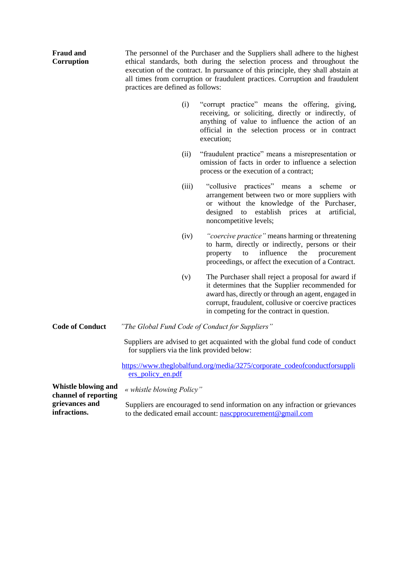| <b>Fraud and</b><br>Corruption                     | The personnel of the Purchaser and the Suppliers shall adhere to the highest<br>ethical standards, both during the selection process and throughout the<br>execution of the contract. In pursuance of this principle, they shall abstain at<br>all times from corruption or fraudulent practices. Corruption and fraudulent<br>practices are defined as follows: |                                                                                                                                                                                                                                                                    |  |  |  |  |  |  |
|----------------------------------------------------|------------------------------------------------------------------------------------------------------------------------------------------------------------------------------------------------------------------------------------------------------------------------------------------------------------------------------------------------------------------|--------------------------------------------------------------------------------------------------------------------------------------------------------------------------------------------------------------------------------------------------------------------|--|--|--|--|--|--|
|                                                    | (i)                                                                                                                                                                                                                                                                                                                                                              | "corrupt practice" means the offering, giving,<br>receiving, or soliciting, directly or indirectly, of<br>anything of value to influence the action of an<br>official in the selection process or in contract<br>execution;                                        |  |  |  |  |  |  |
|                                                    | (ii)                                                                                                                                                                                                                                                                                                                                                             | "fraudulent practice" means a misrepresentation or<br>omission of facts in order to influence a selection<br>process or the execution of a contract;                                                                                                               |  |  |  |  |  |  |
|                                                    | (iii)                                                                                                                                                                                                                                                                                                                                                            | "collusive practices" means a scheme<br>or<br>arrangement between two or more suppliers with<br>or without the knowledge of the Purchaser,<br>designed to establish prices<br>artificial,<br>at<br>noncompetitive levels;                                          |  |  |  |  |  |  |
|                                                    | (iv)                                                                                                                                                                                                                                                                                                                                                             | "coercive practice" means harming or threatening<br>to harm, directly or indirectly, persons or their<br>influence<br>the<br>property<br>to<br>procurement<br>proceedings, or affect the execution of a Contract.                                                  |  |  |  |  |  |  |
|                                                    | (v)                                                                                                                                                                                                                                                                                                                                                              | The Purchaser shall reject a proposal for award if<br>it determines that the Supplier recommended for<br>award has, directly or through an agent, engaged in<br>corrupt, fraudulent, collusive or coercive practices<br>in competing for the contract in question. |  |  |  |  |  |  |
| <b>Code of Conduct</b>                             |                                                                                                                                                                                                                                                                                                                                                                  | "The Global Fund Code of Conduct for Suppliers"                                                                                                                                                                                                                    |  |  |  |  |  |  |
|                                                    | Suppliers are advised to get acquainted with the global fund code of conduct<br>for suppliers via the link provided below:                                                                                                                                                                                                                                       |                                                                                                                                                                                                                                                                    |  |  |  |  |  |  |
|                                                    | ers_policy_en.pdf                                                                                                                                                                                                                                                                                                                                                | https://www.theglobalfund.org/media/3275/corporate_codeofconductforsuppli                                                                                                                                                                                          |  |  |  |  |  |  |
| <b>Whistle blowing and</b><br>channel of reporting | « whistle blowing Policy"                                                                                                                                                                                                                                                                                                                                        |                                                                                                                                                                                                                                                                    |  |  |  |  |  |  |

Suppliers are encouraged to send information on any infraction or grievances to the dedicated email account: netally procurement @gmail.com

**grievances and infractions.**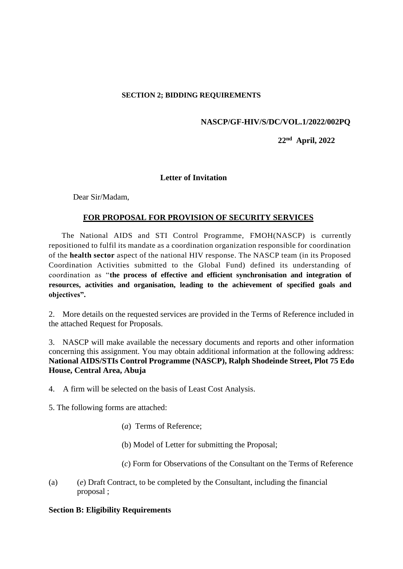#### **SECTION 2; BIDDING REQUIREMENTS**

#### **NASCP/GF-HIV/S/DC/VOL.1/2022/002PQ**

#### **22nd April, 2022**

#### **Letter of Invitation**

Dear Sir/Madam,

#### **FOR PROPOSAL FOR PROVISION OF SECURITY SERVICES**

 The National AIDS and STI Control Programme, FMOH(NASCP) is currently repositioned to fulfil its mandate as a coordination organization responsible for coordination of the **health sector** aspect of the national HIV response. The NASCP team (in its Proposed Coordination Activities submitted to the Global Fund) defined its understanding of coordination as "**the process of effective and efficient synchronisation and integration of resources, activities and organisation, leading to the achievement of specified goals and objectives".**

2. More details on the requested services are provided in the Terms of Reference included in the attached Request for Proposals.

3. NASCP will make available the necessary documents and reports and other information concerning this assignment. You may obtain additional information at the following address: **National AIDS/STIs Control Programme (NASCP), Ralph Shodeinde Street, Plot 75 Edo House, Central Area, Abuja**

4. A firm will be selected on the basis of Least Cost Analysis.

5. The following forms are attached:

- (*a*) Terms of Reference;
- (b) Model of Letter for submitting the Proposal;
- (*c*) Form for Observations of the Consultant on the Terms of Reference
- (a) (*e*) Draft Contract, to be completed by the Consultant, including the financial proposal ;

#### **Section B: Eligibility Requirements**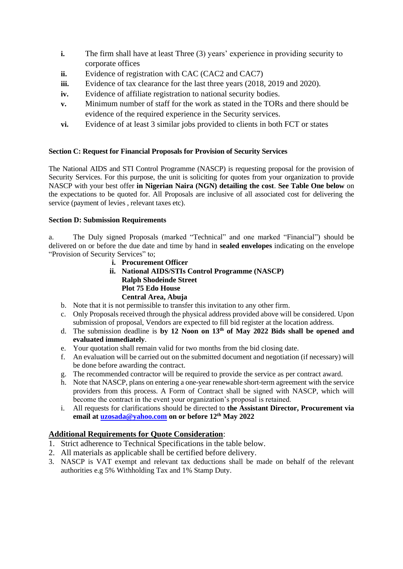- **i.** The firm shall have at least Three (3) years' experience in providing security to corporate offices
- **ii.** Evidence of registration with CAC (CAC2 and CAC7)
- **iii.** Evidence of tax clearance for the last three years (2018, 2019 and 2020).
- **iv.** Evidence of affiliate registration to national security bodies.
- **v.** Minimum number of staff for the work as stated in the TORs and there should be evidence of the required experience in the Security services.
- **vi.** Evidence of at least 3 similar jobs provided to clients in both FCT or states

#### **Section C: Request for Financial Proposals for Provision of Security Services**

The National AIDS and STI Control Programme (NASCP) is requesting proposal for the provision of Security Services. For this purpose, the unit is soliciting for quotes from your organization to provide NASCP with your best offer **in Nigerian Naira (NGN) detailing the cost**. **See Table One below** on the expectations to be quoted for. All Proposals are inclusive of all associated cost for delivering the service (payment of levies , relevant taxes etc).

#### **Section D: Submission Requirements**

a. The Duly signed Proposals (marked "Technical" and one marked "Financial") should be delivered on or before the due date and time by hand in **sealed envelopes** indicating on the envelope "Provision of Security Services" to;

- **i. Procurement Officer**
- **ii. National AIDS/STIs Control Programme (NASCP) Ralph Shodeinde Street Plot 75 Edo House Central Area, Abuja**
- b. Note that it is not permissible to transfer this invitation to any other firm.
- c. Only Proposals received through the physical address provided above will be considered. Upon submission of proposal, Vendors are expected to fill bid register at the location address.
- d. The submission deadline is **by 12 Noon on 13th of May 2022 Bids shall be opened and evaluated immediately**.
- e. Your quotation shall remain valid for two months from the bid closing date.
- f. An evaluation will be carried out on the submitted document and negotiation (if necessary) will be done before awarding the contract.
- g. The recommended contractor will be required to provide the service as per contract award.
- h. Note that NASCP, plans on entering a one-year renewable short-term agreement with the service providers from this process. A Form of Contract shall be signed with NASCP, which will become the contract in the event your organization's proposal is retained.
- i. All requests for clarifications should be directed to **the Assistant Director, Procurement via email at [uzosada@yahoo.com](mailto:uzosada@yahoo.com) on or before 12th May 2022**

#### **Additional Requirements for Quote Consideration**:

- 1. Strict adherence to Technical Specifications in the table below.
- 2. All materials as applicable shall be certified before delivery.
- 3. NASCP is VAT exempt and relevant tax deductions shall be made on behalf of the relevant authorities e.g 5% Withholding Tax and 1% Stamp Duty.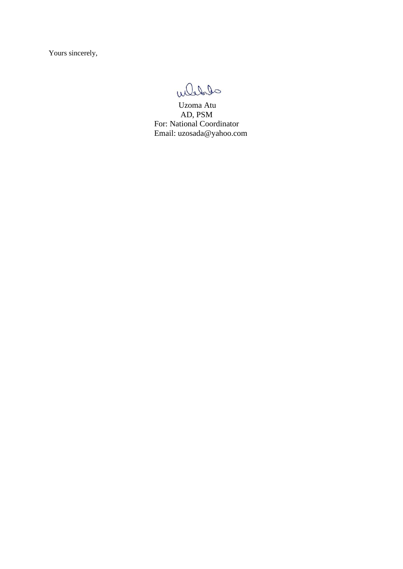Yours sincerely,

Wledge

 Uzoma Atu AD, PSM For: National Coordinator Email: uzosada@yahoo.com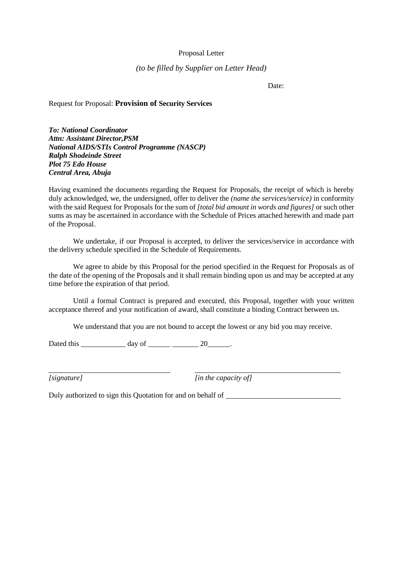#### Proposal Letter

#### *(to be filled by Supplier on Letter Head)*

Date:

#### Request for Proposal: **Provision of Security Services**

*To: National Coordinator Attn: Assistant Director,PSM National AIDS/STIs Control Programme (NASCP) Ralph Shodeinde Street Plot 75 Edo House Central Area, Abuja*

Having examined the documents regarding the Request for Proposals*,* the receipt of which is hereby duly acknowledged, we, the undersigned, offer to deliver the *(name the services/service)* in conformity with the said Request for Proposals for the sum of *[total bid amount in words and figures]* or such other sums as may be ascertained in accordance with the Schedule of Prices attached herewith and made part of the Proposal.

We undertake, if our Proposal is accepted, to deliver the services/service in accordance with the delivery schedule specified in the Schedule of Requirements.

We agree to abide by this Proposal for the period specified in the Request for Proposals as of the date of the opening of the Proposals and it shall remain binding upon us and may be accepted at any time before the expiration of that period.

Until a formal Contract is prepared and executed, this Proposal, together with your written acceptance thereof and your notification of award, shall constitute a binding Contract between us.

We understand that you are not bound to accept the lowest or any bid you may receive.

Dated this  $\frac{day \text{ of } (x,y) - 20}{x^2 + 20}$ .

*[signature] [in the capacity of]*

Duly authorized to sign this Quotation for and on behalf of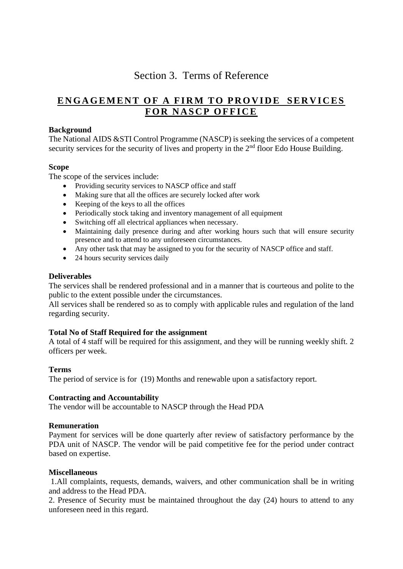## Section 3. Terms of Reference

## **ENGAGEMENT OF A FIRM TO PROVIDE SERVICES F O R N A S C P O F F I C E**

#### **Background**

The National AIDS &STI Control Programme (NASCP) is seeking the services of a competent security services for the security of lives and property in the 2<sup>nd</sup> floor Edo House Building.

#### **Scope**

The scope of the services include:

- Providing security services to NASCP office and staff
- Making sure that all the offices are securely locked after work
- Keeping of the keys to all the offices
- Periodically stock taking and inventory management of all equipment
- Switching off all electrical appliances when necessary.
- Maintaining daily presence during and after working hours such that will ensure security presence and to attend to any unforeseen circumstances.
- Any other task that may be assigned to you for the security of NASCP office and staff.
- 24 hours security services daily

#### **Deliverables**

The services shall be rendered professional and in a manner that is courteous and polite to the public to the extent possible under the circumstances.

All services shall be rendered so as to comply with applicable rules and regulation of the land regarding security.

#### **Total No of Staff Required for the assignment**

A total of 4 staff will be required for this assignment, and they will be running weekly shift. 2 officers per week.

#### **Terms**

The period of service is for (19) Months and renewable upon a satisfactory report.

#### **Contracting and Accountability**

The vendor will be accountable to NASCP through the Head PDA

#### **Remuneration**

Payment for services will be done quarterly after review of satisfactory performance by the PDA unit of NASCP. The vendor will be paid competitive fee for the period under contract based on expertise.

#### **Miscellaneous**

1.All complaints, requests, demands, waivers, and other communication shall be in writing and address to the Head PDA.

2. Presence of Security must be maintained throughout the day (24) hours to attend to any unforeseen need in this regard.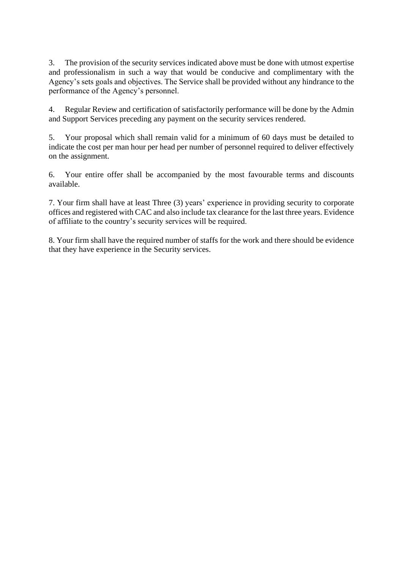3. The provision of the security services indicated above must be done with utmost expertise and professionalism in such a way that would be conducive and complimentary with the Agency's sets goals and objectives. The Service shall be provided without any hindrance to the performance of the Agency's personnel.

4. Regular Review and certification of satisfactorily performance will be done by the Admin and Support Services preceding any payment on the security services rendered.

5. Your proposal which shall remain valid for a minimum of 60 days must be detailed to indicate the cost per man hour per head per number of personnel required to deliver effectively on the assignment.

6. Your entire offer shall be accompanied by the most favourable terms and discounts available.

7. Your firm shall have at least Three (3) years' experience in providing security to corporate offices and registered with CAC and also include tax clearance for the last three years. Evidence of affiliate to the country's security services will be required.

8. Your firm shall have the required number of staffs for the work and there should be evidence that they have experience in the Security services.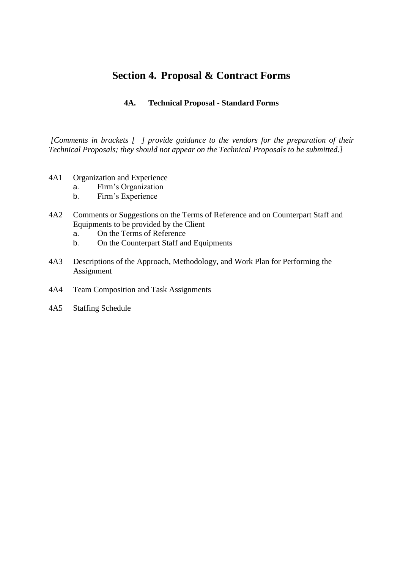### **Section 4. Proposal & Contract Forms**

#### **4A. Technical Proposal - Standard Forms**

*[Comments in brackets [ ] provide guidance to the vendors for the preparation of their Technical Proposals; they should not appear on the Technical Proposals to be submitted.]*

- 4A1 Organization and Experience
	- a. Firm's Organization
		- b. Firm's Experience
- 4A2 Comments or Suggestions on the Terms of Reference and on Counterpart Staff and Equipments to be provided by the Client
	- a. On the Terms of Reference
	- b. On the Counterpart Staff and Equipments
- 4A3 Descriptions of the Approach, Methodology, and Work Plan for Performing the Assignment
- 4A4 Team Composition and Task Assignments
- 4A5 Staffing Schedule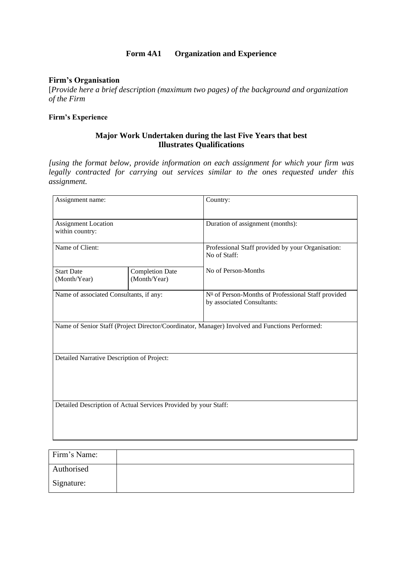#### **Form 4A1 Organization and Experience**

#### **Firm's Organisation**

[*Provide here a brief description (maximum two pages) of the background and organization of the Firm*

#### **Firm's Experience**

#### **Major Work Undertaken during the last Five Years that best Illustrates Qualifications**

*[using the format below, provide information on each assignment for which your firm was legally contracted for carrying out services similar to the ones requested under this assignment.* 

| Assignment name:                           |                                                                 | Country:                                                                                       |  |  |  |  |
|--------------------------------------------|-----------------------------------------------------------------|------------------------------------------------------------------------------------------------|--|--|--|--|
| Assignment Location<br>within country:     |                                                                 | Duration of assignment (months):                                                               |  |  |  |  |
| Name of Client:                            |                                                                 | Professional Staff provided by your Organisation:<br>No of Staff:                              |  |  |  |  |
| <b>Start Date</b><br>(Month/Year)          | <b>Completion Date</b><br>(Month/Year)                          | No of Person-Months                                                                            |  |  |  |  |
| Name of associated Consultants, if any:    |                                                                 | Nº of Person-Months of Professional Staff provided<br>by associated Consultants:               |  |  |  |  |
|                                            |                                                                 | Name of Senior Staff (Project Director/Coordinator, Manager) Involved and Functions Performed: |  |  |  |  |
| Detailed Narrative Description of Project: |                                                                 |                                                                                                |  |  |  |  |
|                                            | Detailed Description of Actual Services Provided by your Staff: |                                                                                                |  |  |  |  |

| Firm's Name: |  |
|--------------|--|
| Authorised   |  |
| Signature:   |  |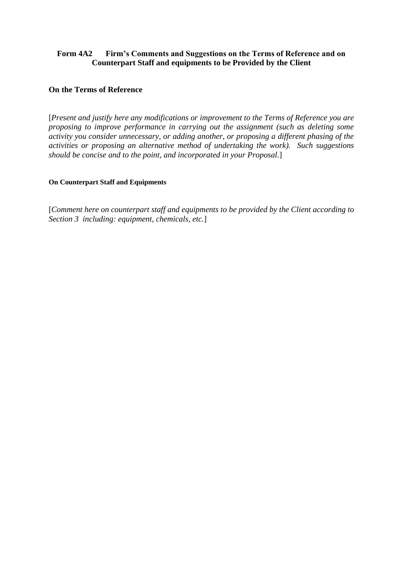#### **Form 4A2 Firm's Comments and Suggestions on the Terms of Reference and on Counterpart Staff and equipments to be Provided by the Client**

#### **On the Terms of Reference**

[*Present and justify here any modifications or improvement to the Terms of Reference you are proposing to improve performance in carrying out the assignment (such as deleting some activity you consider unnecessary, or adding another, or proposing a different phasing of the activities or proposing an alternative method of undertaking the work). Such suggestions should be concise and to the point, and incorporated in your Proposal.*]

#### **On Counterpart Staff and Equipments**

[*Comment here on counterpart staff and equipments to be provided by the Client according to Section 3 including: equipment, chemicals, etc.*]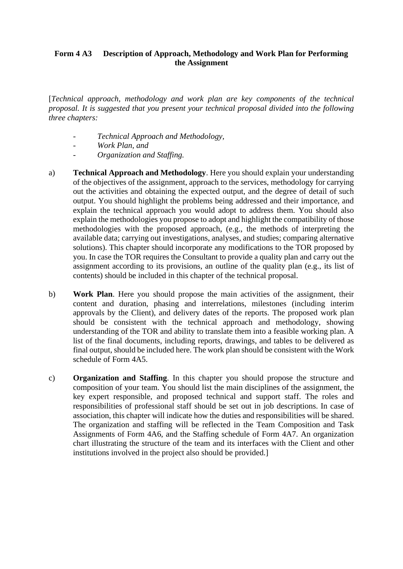#### **Form 4 A3 Description of Approach, Methodology and Work Plan for Performing the Assignment**

[*Technical approach, methodology and work plan are key components of the technical proposal. It is suggested that you present your technical proposal divided into the following three chapters:*

- *- Technical Approach and Methodology,*
- *- Work Plan, and*
- *- Organization and Staffing.*
- a) **Technical Approach and Methodology**. Here you should explain your understanding of the objectives of the assignment, approach to the services, methodology for carrying out the activities and obtaining the expected output, and the degree of detail of such output. You should highlight the problems being addressed and their importance, and explain the technical approach you would adopt to address them. You should also explain the methodologies you propose to adopt and highlight the compatibility of those methodologies with the proposed approach, (e.g., the methods of interpreting the available data; carrying out investigations, analyses, and studies; comparing alternative solutions). This chapter should incorporate any modifications to the TOR proposed by you. In case the TOR requires the Consultant to provide a quality plan and carry out the assignment according to its provisions, an outline of the quality plan (e.g., its list of contents) should be included in this chapter of the technical proposal.
- b) **Work Plan**. Here you should propose the main activities of the assignment, their content and duration, phasing and interrelations, milestones (including interim approvals by the Client), and delivery dates of the reports. The proposed work plan should be consistent with the technical approach and methodology, showing understanding of the TOR and ability to translate them into a feasible working plan. A list of the final documents, including reports, drawings, and tables to be delivered as final output, should be included here. The work plan should be consistent with the Work schedule of Form 4A5.
- c) **Organization and Staffing**. In this chapter you should propose the structure and composition of your team. You should list the main disciplines of the assignment, the key expert responsible, and proposed technical and support staff. The roles and responsibilities of professional staff should be set out in job descriptions. In case of association, this chapter will indicate how the duties and responsibilities will be shared. The organization and staffing will be reflected in the Team Composition and Task Assignments of Form 4A6, and the Staffing schedule of Form 4A7. An organization chart illustrating the structure of the team and its interfaces with the Client and other institutions involved in the project also should be provided.]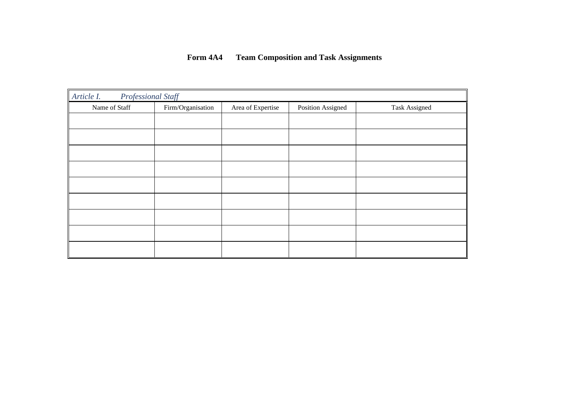### **Form 4A4 Team Composition and Task Assignments**

| Article I.    | Professional Staff |                   |                   |               |  |  |  |  |  |  |  |
|---------------|--------------------|-------------------|-------------------|---------------|--|--|--|--|--|--|--|
| Name of Staff | Firm/Organisation  | Area of Expertise | Position Assigned | Task Assigned |  |  |  |  |  |  |  |
|               |                    |                   |                   |               |  |  |  |  |  |  |  |
|               |                    |                   |                   |               |  |  |  |  |  |  |  |
|               |                    |                   |                   |               |  |  |  |  |  |  |  |
|               |                    |                   |                   |               |  |  |  |  |  |  |  |
|               |                    |                   |                   |               |  |  |  |  |  |  |  |
|               |                    |                   |                   |               |  |  |  |  |  |  |  |
|               |                    |                   |                   |               |  |  |  |  |  |  |  |
|               |                    |                   |                   |               |  |  |  |  |  |  |  |
|               |                    |                   |                   |               |  |  |  |  |  |  |  |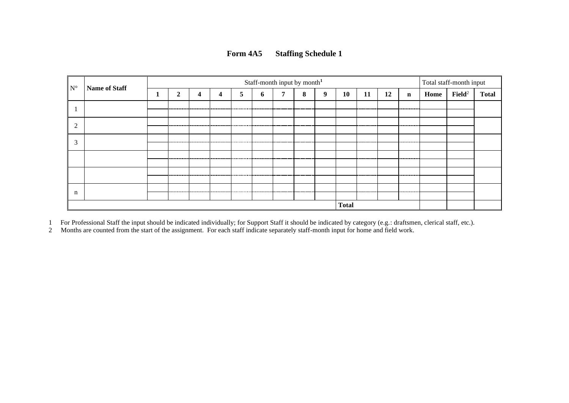| Form 4A5 | <b>Staffing Schedule 1</b> |
|----------|----------------------------|
|----------|----------------------------|

| $\mathbf{N}^{\circ}$ | Name of Staff | Staff-month input by month <sup>1</sup><br>Total staff-month input |   |   |   |   |   |              |           |    |           |             |             |                    |              |  |
|----------------------|---------------|--------------------------------------------------------------------|---|---|---|---|---|--------------|-----------|----|-----------|-------------|-------------|--------------------|--------------|--|
|                      | ↑             | 4                                                                  | 4 | 5 | o | − | 8 | 9            | <b>10</b> | 11 | 12        | $\mathbf n$ | Home        | $\mathbf{Field}^2$ | <b>Total</b> |  |
|                      |               |                                                                    |   |   |   |   |   |              |           |    |           |             | .           |                    |              |  |
| ◠                    |               |                                                                    |   |   |   |   |   |              |           |    |           |             | --------    |                    |              |  |
| $\sim$<br>J.         |               |                                                                    |   |   |   |   |   |              |           |    |           |             | ----------- |                    |              |  |
|                      |               | ----------                                                         |   |   |   |   |   |              |           |    |           |             | --------    |                    |              |  |
|                      |               |                                                                    |   |   |   |   |   | ----------   |           |    |           |             | ---------   |                    |              |  |
| n                    |               |                                                                    |   |   |   |   |   |              |           |    | --------- |             | .           |                    |              |  |
|                      |               |                                                                    |   |   |   |   |   | <b>Total</b> |           |    |           |             |             |                    |              |  |

1 For Professional Staff the input should be indicated individually; for Support Staff it should be indicated by category (e.g.: draftsmen, clerical staff, etc.).

2 Months are counted from the start of the assignment. For each staff indicate separately staff-month input for home and field work.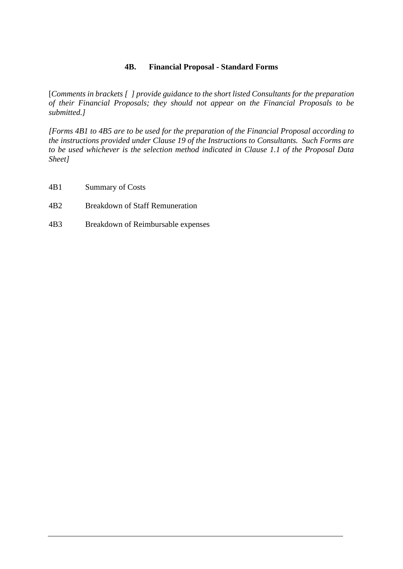#### **4B. Financial Proposal - Standard Forms**

[*Comments in brackets [ ] provide guidance to the short listed Consultants for the preparation of their Financial Proposals; they should not appear on the Financial Proposals to be submitted.]*

*[Forms 4B1 to 4B5 are to be used for the preparation of the Financial Proposal according to the instructions provided under Clause 19 of the Instructions to Consultants. Such Forms are to be used whichever is the selection method indicated in Clause 1.1 of the Proposal Data Sheet]*

- 4B1 Summary of Costs
- 4B2 Breakdown of Staff Remuneration
- 4B3 Breakdown of Reimbursable expenses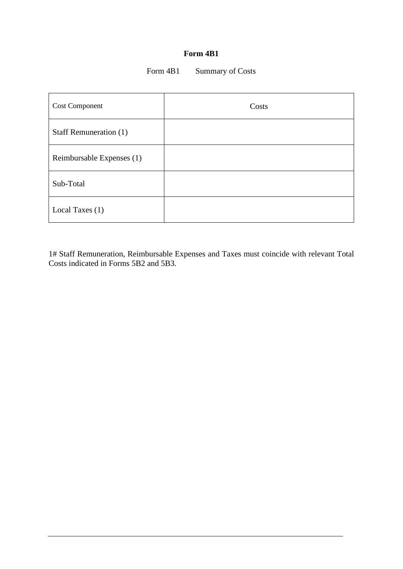#### **Form 4B1**

#### Form 4B1 Summary of Costs

| <b>Cost Component</b>     | Costs |
|---------------------------|-------|
| Staff Remuneration (1)    |       |
| Reimbursable Expenses (1) |       |
| Sub-Total                 |       |
| Local Taxes (1)           |       |

1# Staff Remuneration, Reimbursable Expenses and Taxes must coincide with relevant Total Costs indicated in Forms 5B2 and 5B3.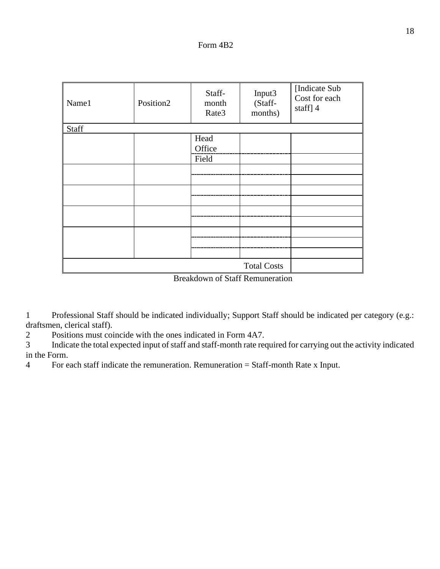| Name1              | Position2 | Staff-<br>month<br>Rate3 | Input3<br>(Staff-<br>months) | [Indicate Sub<br>Cost for each<br>staff] 4 |  |  |  |
|--------------------|-----------|--------------------------|------------------------------|--------------------------------------------|--|--|--|
| Staff              |           |                          |                              |                                            |  |  |  |
|                    |           | Head<br>Office           |                              |                                            |  |  |  |
|                    |           | Field                    |                              |                                            |  |  |  |
|                    |           |                          |                              |                                            |  |  |  |
|                    |           |                          |                              |                                            |  |  |  |
|                    |           |                          |                              |                                            |  |  |  |
|                    |           |                          |                              |                                            |  |  |  |
|                    |           |                          |                              |                                            |  |  |  |
|                    |           |                          |                              |                                            |  |  |  |
|                    |           |                          |                              |                                            |  |  |  |
|                    |           |                          |                              |                                            |  |  |  |
|                    |           |                          |                              |                                            |  |  |  |
| <b>Total Costs</b> |           |                          |                              |                                            |  |  |  |

Breakdown of Staff Remuneration

1 Professional Staff should be indicated individually; Support Staff should be indicated per category (e.g.: draftsmen, clerical staff).

2 Positions must coincide with the ones indicated in Form 4A7.

3 Indicate the total expected input of staff and staff-month rate required for carrying out the activity indicated in the Form.

4 For each staff indicate the remuneration. Remuneration = Staff-month Rate x Input.